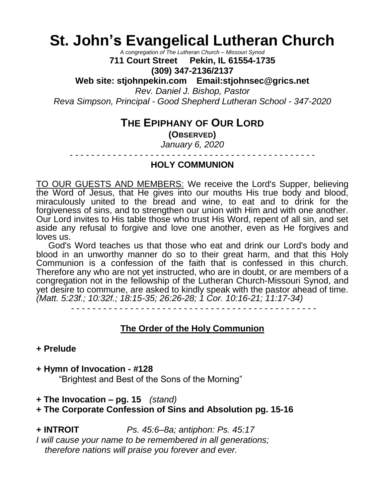# **St. John's Evangelical Lutheran Church**

*A congregation of The Lutheran Church – Missouri Synod*

**711 Court Street Pekin, IL 61554-1735 (309) 347-2136/2137**

**Web site: stjohnpekin.com Email:stjohnsec@grics.net**

*Rev. Daniel J. Bishop, Pastor*

*Reva Simpson, Principal - Good Shepherd Lutheran School - 347-2020*

# **THE EPIPHANY OF OUR LORD**

**(OBSERVED)**

*January 6, 2020*

- - - - - - - - - - - - - - - - - - - - - - - - - - - - - - - - - - - - - - - - - - - - - -

## **HOLY COMMUNION**

TO OUR GUESTS AND MEMBERS: We receive the Lord's Supper, believing the Word of Jesus, that He gives into our mouths His true body and blood, miraculously united to the bread and wine, to eat and to drink for the forgiveness of sins, and to strengthen our union with Him and with one another. Our Lord invites to His table those who trust His Word, repent of all sin, and set aside any refusal to forgive and love one another, even as He forgives and loves us.

 God's Word teaches us that those who eat and drink our Lord's body and blood in an unworthy manner do so to their great harm, and that this Holy Communion is a confession of the faith that is confessed in this church. Therefore any who are not yet instructed, who are in doubt, or are members of a congregation not in the fellowship of the Lutheran Church-Missouri Synod, and yet desire to commune, are asked to kindly speak with the pastor ahead of time. *(Matt. 5:23f.; 10:32f.; 18:15-35; 26:26-28; 1 Cor. 10:16-21; 11:17-34)*

## **The Order of the Holy Communion**

#### **+ Prelude**

**+ Hymn of Invocation - #128**

"Brightest and Best of the Sons of the Morning"

**+ The Invocation – pg. 15** *(stand)*

## **+ The Corporate Confession of Sins and Absolution pg. 15-16**

**+ INTROIT** *Ps. 45:6–8a; antiphon: Ps. 45:17*

*I will cause your name to be remembered in all generations; therefore nations will praise you forever and ever.*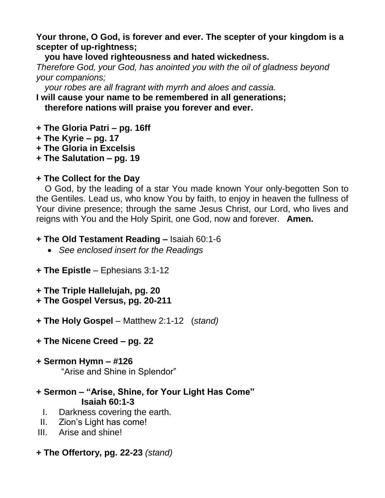## **Your throne, O God, is forever and ever. The scepter of your kingdom is a scepter of up-rightness;**

**you have loved righteousness and hated wickedness.**

*Therefore God, your God, has anointed you with the oil of gladness beyond your companions;*

*your robes are all fragrant with myrrh and aloes and cassia.*

**I will cause your name to be remembered in all generations;**

**therefore nations will praise you forever and ever.**

- **+ The Gloria Patri – pg. 16ff**
- **+ The Kyrie – pg. 17**
- **+ The Gloria in Excelsis**
- **+ The Salutation – pg. 19**

## **+ The Collect for the Day**

O God, by the leading of a star You made known Your only-begotten Son to the Gentiles. Lead us, who know You by faith, to enjoy in heaven the fullness of Your divine presence; through the same Jesus Christ, our Lord, who lives and reigns with You and the Holy Spirit, one God, now and forever. **Amen.**

- **+ The Old Testament Reading –** Isaiah 60:1-6
	- *See enclosed insert for the Readings*
- **+ The Epistle** Ephesians 3:1-12
- **+ The Triple Hallelujah, pg. 20**
- **+ The Gospel Versus, pg. 20-211**
- **+ The Holy Gospel** Matthew 2:1-12 (*stand)*
- **+ The Nicene Creed – pg. 22**
- **+ Sermon Hymn – #126** "Arise and Shine in Splendor"
- **+ Sermon – "Arise, Shine, for Your Light Has Come" Isaiah 60:1-3**
	- I. Darkness covering the earth.
- II. Zion's Light has come!
- III. Arise and shine!
- **+ The Offertory, pg. 22-23** *(stand)*